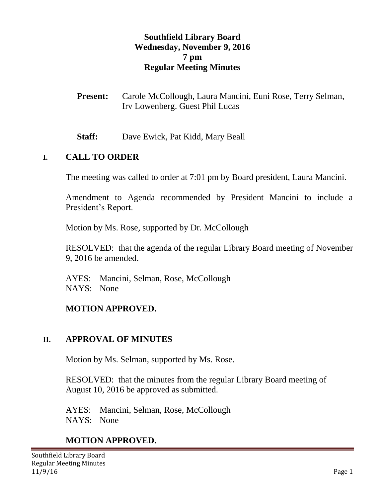#### **Southfield Library Board Wednesday, November 9, 2016 7 pm Regular Meeting Minutes**

- **Present:** Carole McCollough, Laura Mancini, Euni Rose, Terry Selman, Irv Lowenberg. Guest Phil Lucas
- **Staff:** Dave Ewick, Pat Kidd, Mary Beall

#### **I. CALL TO ORDER**

The meeting was called to order at 7:01 pm by Board president, Laura Mancini.

Amendment to Agenda recommended by President Mancini to include a President's Report.

Motion by Ms. Rose, supported by Dr. McCollough

RESOLVED: that the agenda of the regular Library Board meeting of November 9, 2016 be amended.

AYES: Mancini, Selman, Rose, McCollough NAYS: None

#### **MOTION APPROVED.**

#### **II. APPROVAL OF MINUTES**

Motion by Ms. Selman, supported by Ms. Rose.

RESOLVED: that the minutes from the regular Library Board meeting of August 10, 2016 be approved as submitted.

AYES: Mancini, Selman, Rose, McCollough NAYS: None

### **MOTION APPROVED.**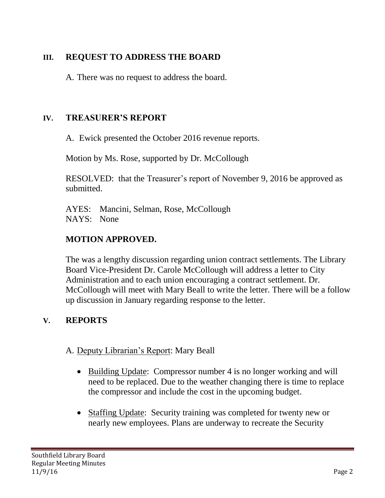### **III. REQUEST TO ADDRESS THE BOARD**

A. There was no request to address the board.

### **IV. TREASURER'S REPORT**

A. Ewick presented the October 2016 revenue reports.

Motion by Ms. Rose, supported by Dr. McCollough

RESOLVED: that the Treasurer's report of November 9, 2016 be approved as submitted.

AYES: Mancini, Selman, Rose, McCollough NAYS: None

### **MOTION APPROVED.**

The was a lengthy discussion regarding union contract settlements. The Library Board Vice-President Dr. Carole McCollough will address a letter to City Administration and to each union encouraging a contract settlement. Dr. McCollough will meet with Mary Beall to write the letter. There will be a follow up discussion in January regarding response to the letter.

# **V. REPORTS**

### A. Deputy Librarian's Report: Mary Beall

- Building Update: Compressor number 4 is no longer working and will need to be replaced. Due to the weather changing there is time to replace the compressor and include the cost in the upcoming budget.
- Staffing Update: Security training was completed for twenty new or nearly new employees. Plans are underway to recreate the Security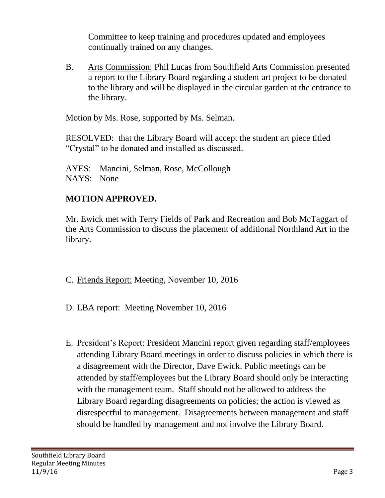Committee to keep training and procedures updated and employees continually trained on any changes.

B. Arts Commission: Phil Lucas from Southfield Arts Commission presented a report to the Library Board regarding a student art project to be donated to the library and will be displayed in the circular garden at the entrance to the library.

Motion by Ms. Rose, supported by Ms. Selman.

RESOLVED: that the Library Board will accept the student art piece titled "Crystal" to be donated and installed as discussed.

AYES: Mancini, Selman, Rose, McCollough NAYS: None

### **MOTION APPROVED.**

Mr. Ewick met with Terry Fields of Park and Recreation and Bob McTaggart of the Arts Commission to discuss the placement of additional Northland Art in the library.

- C. Friends Report: Meeting, November 10, 2016
- D. LBA report: Meeting November 10, 2016
- E. President's Report: President Mancini report given regarding staff/employees attending Library Board meetings in order to discuss policies in which there is a disagreement with the Director, Dave Ewick. Public meetings can be attended by staff/employees but the Library Board should only be interacting with the management team. Staff should not be allowed to address the Library Board regarding disagreements on policies; the action is viewed as disrespectful to management. Disagreements between management and staff should be handled by management and not involve the Library Board.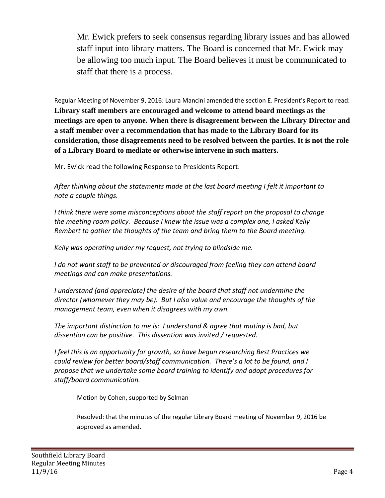Mr. Ewick prefers to seek consensus regarding library issues and has allowed staff input into library matters. The Board is concerned that Mr. Ewick may be allowing too much input. The Board believes it must be communicated to staff that there is a process.

Regular Meeting of November 9, 2016: Laura Mancini amended the section E. President's Report to read: **Library staff members are encouraged and welcome to attend board meetings as the meetings are open to anyone. When there is disagreement between the Library Director and a staff member over a recommendation that has made to the Library Board for its consideration, those disagreements need to be resolved between the parties. It is not the role of a Library Board to mediate or otherwise intervene in such matters.**

Mr. Ewick read the following Response to Presidents Report:

*After thinking about the statements made at the last board meeting I felt it important to note a couple things.*

*I think there were some misconceptions about the staff report on the proposal to change the meeting room policy. Because I knew the issue was a complex one, I asked Kelly Rembert to gather the thoughts of the team and bring them to the Board meeting.*

*Kelly was operating under my request, not trying to blindside me.*

*I* do not want staff to be prevented or discouraged from feeling they can attend board *meetings and can make presentations.* 

*I understand (and appreciate) the desire of the board that staff not undermine the director (whomever they may be). But I also value and encourage the thoughts of the management team, even when it disagrees with my own.* 

*The important distinction to me is: I understand & agree that mutiny is bad, but dissention can be positive. This dissention was invited / requested.* 

*I feel this is an opportunity for growth, so have begun researching Best Practices we could review for better board/staff communication. There's a lot to be found, and I propose that we undertake some board training to identify and adopt procedures for staff/board communication.* 

Motion by Cohen, supported by Selman

Resolved: that the minutes of the regular Library Board meeting of November 9, 2016 be approved as amended.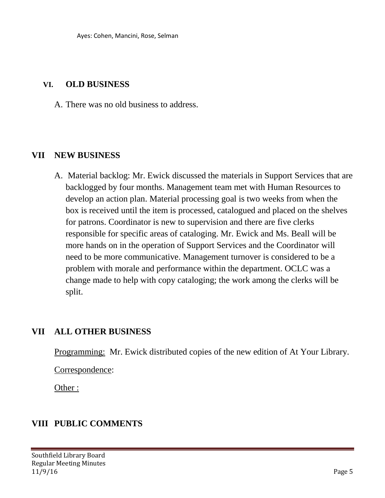#### **VI. OLD BUSINESS**

A. There was no old business to address.

#### **VII NEW BUSINESS**

A. Material backlog: Mr. Ewick discussed the materials in Support Services that are backlogged by four months. Management team met with Human Resources to develop an action plan. Material processing goal is two weeks from when the box is received until the item is processed, catalogued and placed on the shelves for patrons. Coordinator is new to supervision and there are five clerks responsible for specific areas of cataloging. Mr. Ewick and Ms. Beall will be more hands on in the operation of Support Services and the Coordinator will need to be more communicative. Management turnover is considered to be a problem with morale and performance within the department. OCLC was a change made to help with copy cataloging; the work among the clerks will be split.

# **VII ALL OTHER BUSINESS**

Programming: Mr. Ewick distributed copies of the new edition of At Your Library.

Correspondence:

Other :

# **VIII PUBLIC COMMENTS**